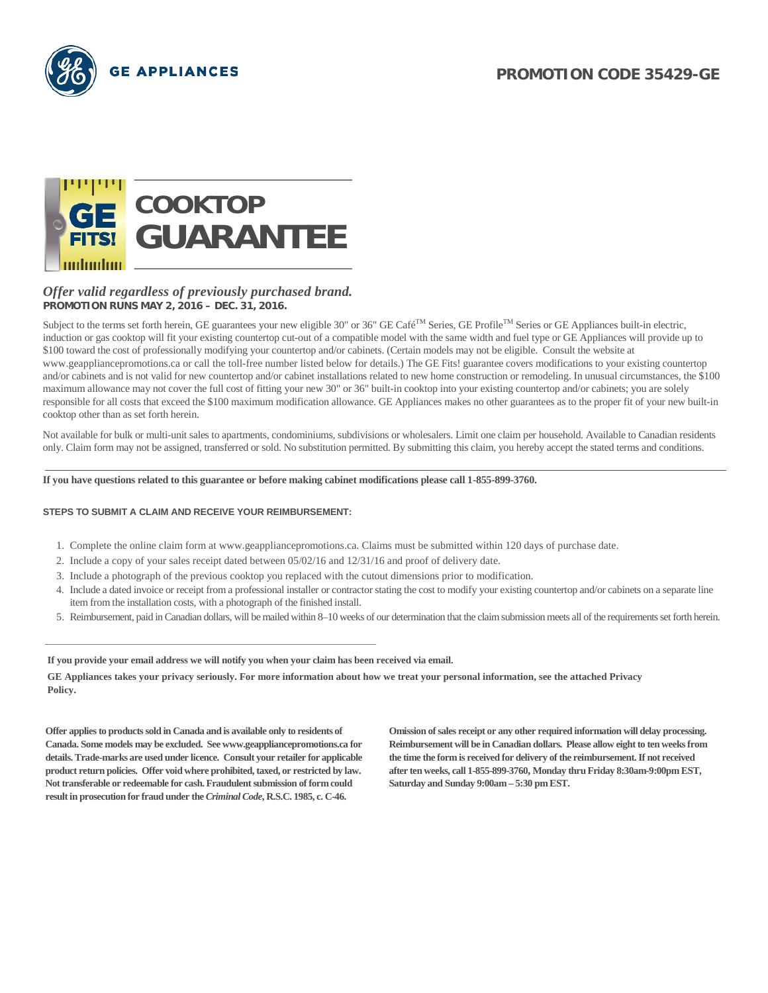



#### *Offer valid regardless of previously purchased brand.* **PROMOTION RUNS MAY 2, 2016 – DEC. 31, 2016.**

Subject to the terms set forth herein, GE guarantees your new eligible 30" or 36" GE Café<sup>TM</sup> Series, GE Profile<sup>TM</sup> Series or GE Appliances built-in electric, induction or gas cooktop will fit your existing countertop cut-out of a compatible model with the same width and fuel type or GE Appliances will provide up to \$100 toward the cost of professionally modifying your countertop and/or cabinets. (Certain models may not be eligible. Consult the website at www.geappliancepromotions.ca or call the toll-free number listed below for details.) The GE Fits! guarantee covers modifications to your existing countertop and/or cabinets and is not valid for new countertop and/or cabinet installations related to new home construction or remodeling. In unusual circumstances, the \$100 maximum allowance may not cover the full cost of fitting your new 30" or 36" built-in cooktop into your existing countertop and/or cabinets; you are solely responsible for all costs that exceed the \$100 maximum modification allowance. GE Appliances makes no other guarantees as to the proper fit of your new built-in cooktop other than as set forth herein.

Not available for bulk or multi-unit sales to apartments, condominiums, subdivisions or wholesalers. Limit one claim per household. Available to Canadian residents only. Claim form may not be assigned, transferred or sold. No substitution permitted. By submitting this claim, you hereby accept the stated terms and conditions.

**If you have questions related to this guarantee or before making cabinet modifications please call 1-855-899-3760.**

#### **STEPS TO SUBMIT A CLAIM AND RECEIVE YOUR REIMBURSEMENT:**

- 1. Complete the online claim form at www.geappliancepromotions.ca. Claims must be submitted within 120 days of purchase date.
- 2. Include a copy of your sales receipt dated between 05/02/16 and 12/31/16 and proof of delivery date.
- 3. Include a photograph of the previous cooktop you replaced with the cutout dimensions prior to modification.
- 4. Include a dated invoice or receipt from a professional installer or contractor stating the cost to modify your existing countertop and/or cabinets on a separate line item from the installation costs, with a photograph of the finished install.
- 5. Reimbursement, paid in Canadian dollars, will be mailed within 8–10 weeks of our determination that the claim submission meets all of the requirements set forth herein.

**If you provide your email address we will notify you when your claim has been received via email.**

**GE Appliances takes your privacy seriously. For more information about how we treat your personal information, see the attached Privacy Policy.**

**Offer applies to products sold in Canada and is available only to residents of Canada. Some models may be excluded. See www.geappliancepromotions.ca for details. Trade-marks are used under licence. Consult your retailer for applicable product return policies. Offer void where prohibited, taxed, or restricted by law. Not transferable or redeemable for cash. Fraudulent submission of form could result in prosecution for fraud under the** *Criminal Code***, R.S.C. 1985, c. C-46.** 

**Omission of sales receipt or any other required information will delay processing. Reimbursement will be in Canadian dollars. Please allow eight to ten weeks from the time the form is received for delivery of the reimbursement. If not received after ten weeks, call 1-855-899-3760, Monday thru Friday 8:30am-9:00pm EST, Saturday and Sunday 9:00am – 5:30 pm EST.**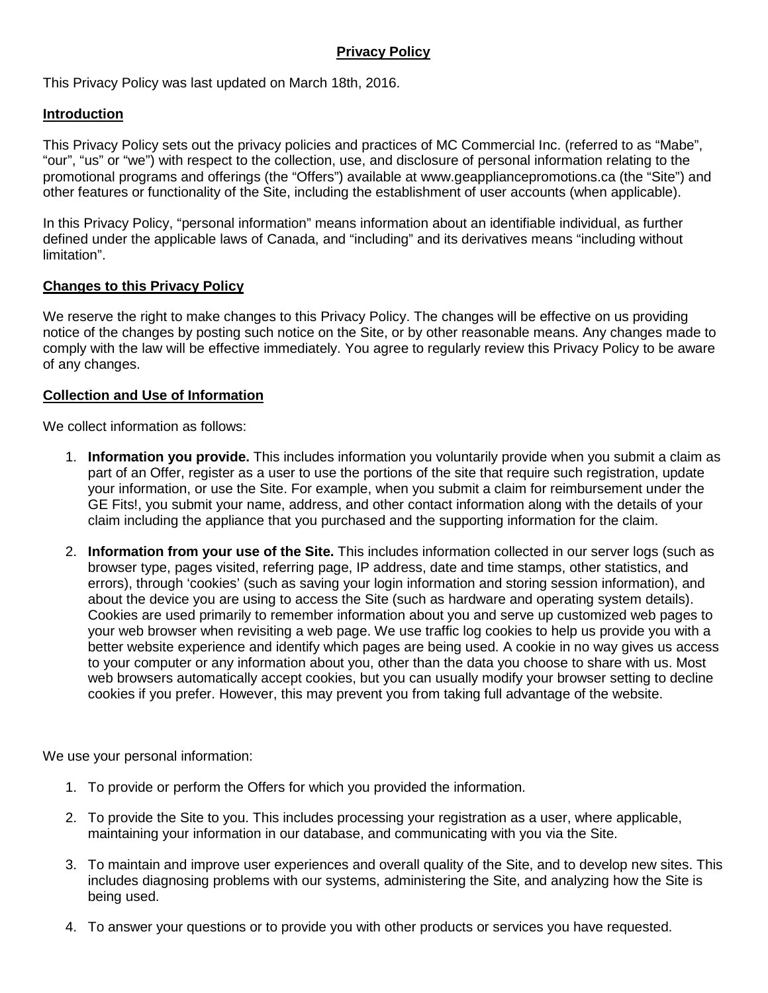## **Privacy Policy**

This Privacy Policy was last updated on March 18th, 2016.

## **Introduction**

This Privacy Policy sets out the privacy policies and practices of MC Commercial Inc. (referred to as "Mabe", "our", "us" or "we") with respect to the collection, use, and disclosure of personal information relating to the promotional programs and offerings (the "Offers") available at www.geappliancepromotions.ca (the "Site") and other features or functionality of the Site, including the establishment of user accounts (when applicable).

In this Privacy Policy, "personal information" means information about an identifiable individual, as further defined under the applicable laws of Canada, and "including" and its derivatives means "including without limitation".

## **Changes to this Privacy Policy**

We reserve the right to make changes to this Privacy Policy. The changes will be effective on us providing notice of the changes by posting such notice on the Site, or by other reasonable means. Any changes made to comply with the law will be effective immediately. You agree to regularly review this Privacy Policy to be aware of any changes.

## **Collection and Use of Information**

We collect information as follows:

- 1. **Information you provide.** This includes information you voluntarily provide when you submit a claim as part of an Offer, register as a user to use the portions of the site that require such registration, update your information, or use the Site. For example, when you submit a claim for reimbursement under the GE Fits!, you submit your name, address, and other contact information along with the details of your claim including the appliance that you purchased and the supporting information for the claim.
- 2. **Information from your use of the Site.** This includes information collected in our server logs (such as browser type, pages visited, referring page, IP address, date and time stamps, other statistics, and errors), through 'cookies' (such as saving your login information and storing session information), and about the device you are using to access the Site (such as hardware and operating system details). Cookies are used primarily to remember information about you and serve up customized web pages to your web browser when revisiting a web page. We use traffic log cookies to help us provide you with a better website experience and identify which pages are being used. A cookie in no way gives us access to your computer or any information about you, other than the data you choose to share with us. Most web browsers automatically accept cookies, but you can usually modify your browser setting to decline cookies if you prefer. However, this may prevent you from taking full advantage of the website.

We use your personal information:

- 1. To provide or perform the Offers for which you provided the information.
- 2. To provide the Site to you. This includes processing your registration as a user, where applicable, maintaining your information in our database, and communicating with you via the Site.
- 3. To maintain and improve user experiences and overall quality of the Site, and to develop new sites. This includes diagnosing problems with our systems, administering the Site, and analyzing how the Site is being used.
- 4. To answer your questions or to provide you with other products or services you have requested.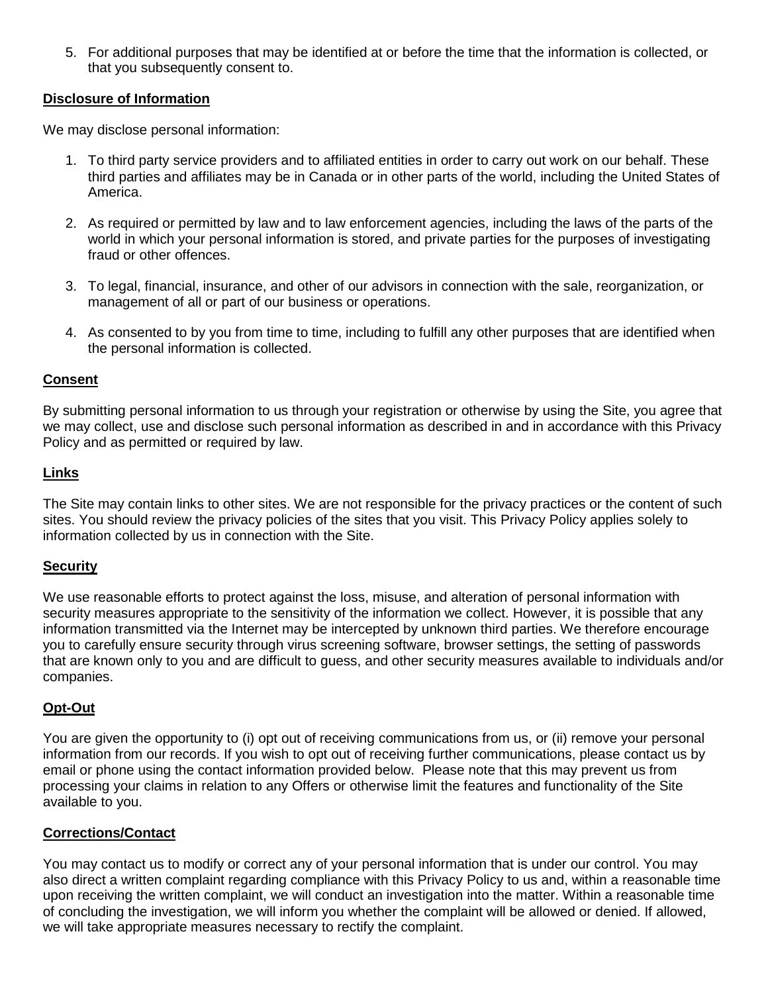5. For additional purposes that may be identified at or before the time that the information is collected, or that you subsequently consent to.

## **Disclosure of Information**

We may disclose personal information:

- 1. To third party service providers and to affiliated entities in order to carry out work on our behalf. These third parties and affiliates may be in Canada or in other parts of the world, including the United States of America.
- 2. As required or permitted by law and to law enforcement agencies, including the laws of the parts of the world in which your personal information is stored, and private parties for the purposes of investigating fraud or other offences.
- 3. To legal, financial, insurance, and other of our advisors in connection with the sale, reorganization, or management of all or part of our business or operations.
- 4. As consented to by you from time to time, including to fulfill any other purposes that are identified when the personal information is collected.

## **Consent**

By submitting personal information to us through your registration or otherwise by using the Site, you agree that we may collect, use and disclose such personal information as described in and in accordance with this Privacy Policy and as permitted or required by law.

## **Links**

The Site may contain links to other sites. We are not responsible for the privacy practices or the content of such sites. You should review the privacy policies of the sites that you visit. This Privacy Policy applies solely to information collected by us in connection with the Site.

## **Security**

We use reasonable efforts to protect against the loss, misuse, and alteration of personal information with security measures appropriate to the sensitivity of the information we collect. However, it is possible that any information transmitted via the Internet may be intercepted by unknown third parties. We therefore encourage you to carefully ensure security through virus screening software, browser settings, the setting of passwords that are known only to you and are difficult to guess, and other security measures available to individuals and/or companies.

## **Opt-Out**

You are given the opportunity to (i) opt out of receiving communications from us, or (ii) remove your personal information from our records. If you wish to opt out of receiving further communications, please contact us by email or phone using the contact information provided below. Please note that this may prevent us from processing your claims in relation to any Offers or otherwise limit the features and functionality of the Site available to you.

## **Corrections/Contact**

You may contact us to modify or correct any of your personal information that is under our control. You may also direct a written complaint regarding compliance with this Privacy Policy to us and, within a reasonable time upon receiving the written complaint, we will conduct an investigation into the matter. Within a reasonable time of concluding the investigation, we will inform you whether the complaint will be allowed or denied. If allowed, we will take appropriate measures necessary to rectify the complaint.